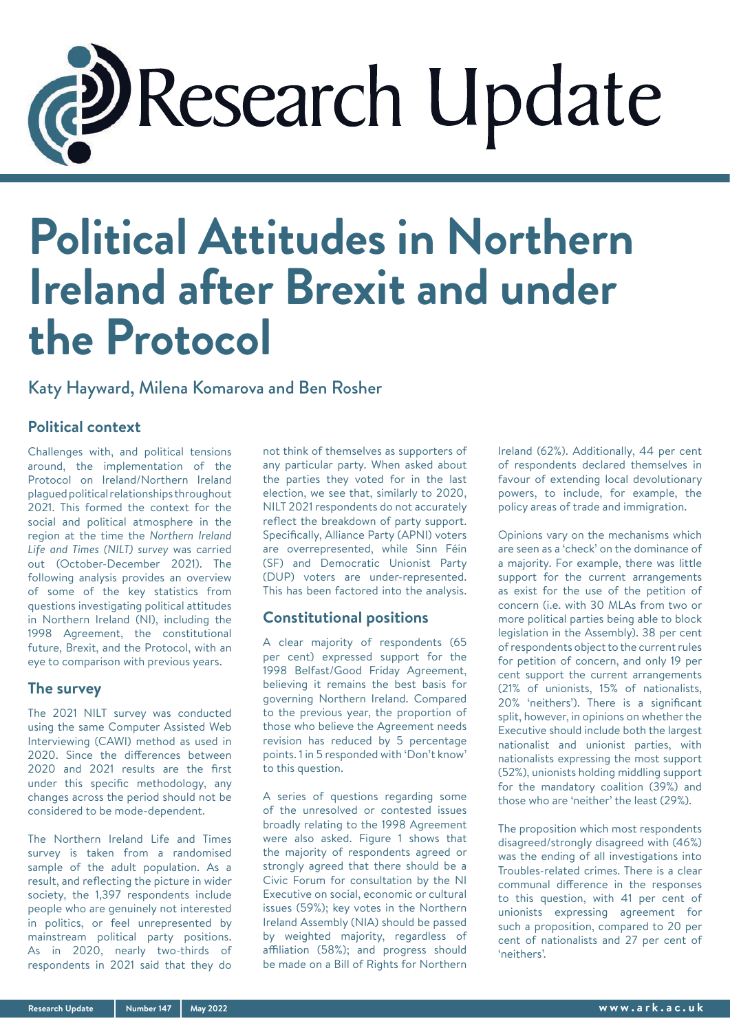(a) Research Update

# **Political Attitudes in Northern Ireland after Brexit and under the Protocol**

## Katy Hayward, Milena Komarova and Ben Rosher

### **Political context**

Challenges with, and political tensions around, the implementation of the Protocol on Ireland/Northern Ireland plagued political relationships throughout 2021. This formed the context for the social and political atmosphere in the region at the time the *Northern Ireland Life and Times (NILT) survey* was carried out (October-December 2021). The following analysis provides an overview of some of the key statistics from questions investigating political attitudes in Northern Ireland (NI), including the 1998 Agreement, the constitutional future, Brexit, and the Protocol, with an eye to comparison with previous years.

#### **The survey**

The 2021 NILT survey was conducted using the same Computer Assisted Web Interviewing (CAWI) method as used in 2020. Since the differences between 2020 and 2021 results are the first under this specific methodology, any changes across the period should not be considered to be mode-dependent.

The Northern Ireland Life and Times survey is taken from a randomised sample of the adult population. As a result, and reflecting the picture in wider society, the 1,397 respondents include people who are genuinely not interested in politics, or feel unrepresented by mainstream political party positions. As in 2020, nearly two-thirds of respondents in 2021 said that they do

not think of themselves as supporters of any particular party. When asked about the parties they voted for in the last election, we see that, similarly to 2020, NILT 2021 respondents do not accurately reflect the breakdown of party support. Specifically, Alliance Party (APNI) voters are overrepresented, while Sinn Féin (SF) and Democratic Unionist Party (DUP) voters are under-represented. This has been factored into the analysis.

## **Constitutional positions**

A clear majority of respondents (65 per cent) expressed support for the 1998 Belfast/Good Friday Agreement, believing it remains the best basis for governing Northern Ireland. Compared to the previous year, the proportion of those who believe the Agreement needs revision has reduced by 5 percentage points. 1 in 5 responded with 'Don't know' to this question.

A series of questions regarding some of the unresolved or contested issues broadly relating to the 1998 Agreement were also asked. Figure 1 shows that the majority of respondents agreed or strongly agreed that there should be a Civic Forum for consultation by the NI Executive on social, economic or cultural issues (59%); key votes in the Northern Ireland Assembly (NIA) should be passed by weighted majority, regardless of affiliation (58%); and progress should be made on a Bill of Rights for Northern Ireland (62%). Additionally, 44 per cent of respondents declared themselves in favour of extending local devolutionary powers, to include, for example, the policy areas of trade and immigration.

Opinions vary on the mechanisms which are seen as a 'check' on the dominance of a majority. For example, there was little support for the current arrangements as exist for the use of the petition of concern (i.e. with 30 MLAs from two or more political parties being able to block legislation in the Assembly). 38 per cent of respondents object to the current rules for petition of concern, and only 19 per cent support the current arrangements (21% of unionists, 15% of nationalists, 20% 'neithers'). There is a significant split, however, in opinions on whether the Executive should include both the largest nationalist and unionist parties, with nationalists expressing the most support (52%), unionists holding middling support for the mandatory coalition (39%) and those who are 'neither' the least (29%).

The proposition which most respondents disagreed/strongly disagreed with (46%) was the ending of all investigations into Troubles-related crimes. There is a clear communal difference in the responses to this question, with 41 per cent of unionists expressing agreement for such a proposition, compared to 20 per cent of nationalists and 27 per cent of 'neithers'.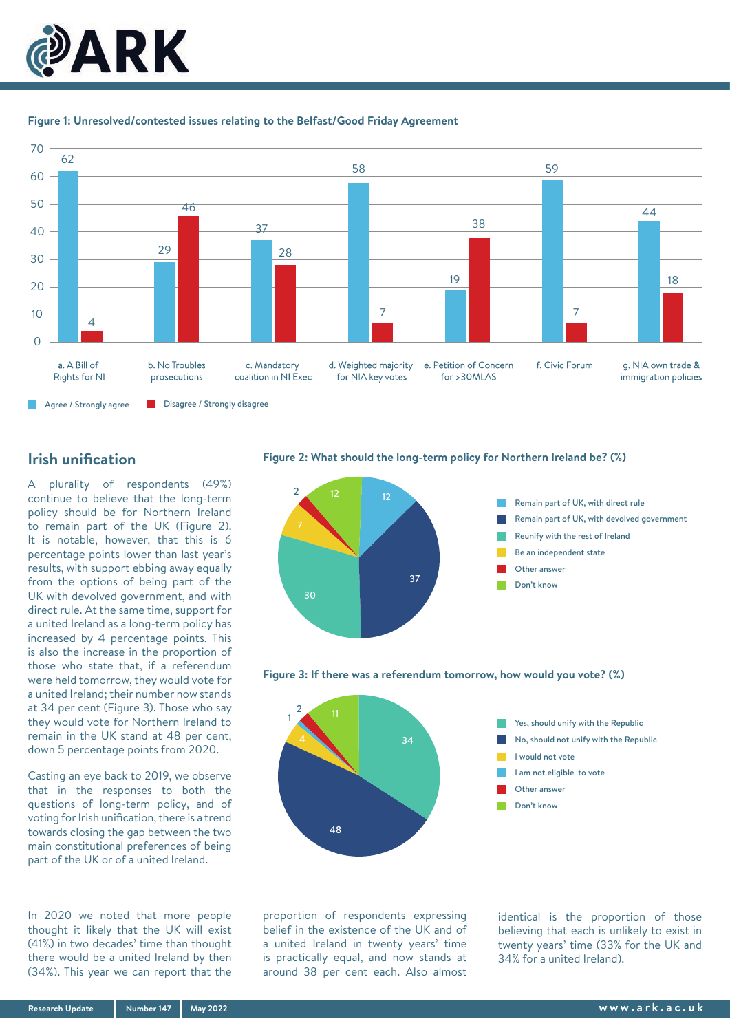





## **Irish unification**

A plurality of respondents (49%) continue to believe that the long-term policy should be for Northern Ireland to remain part of the UK (Figure 2). It is notable, however, that this is 6 percentage points lower than last year's results, with support ebbing away equally from the options of being part of the UK with devolved government, and with direct rule. At the same time, support for a united Ireland as a long-term policy has increased by 4 percentage points. This is also the increase in the proportion of those who state that, if a referendum were held tomorrow, they would vote for a united Ireland; their number now stands at 34 per cent (Figure 3). Those who say they would vote for Northern Ireland to remain in the UK stand at 48 per cent, down 5 percentage points from 2020.

Casting an eye back to 2019, we observe that in the responses to both the questions of long-term policy, and of voting for Irish unification, there is a trend towards closing the gap between the two main constitutional preferences of being part of the UK or of a united Ireland.

In 2020 we noted that more people thought it likely that the UK will exist (41%) in two decades' time than thought there would be a united Ireland by then (34%). This year we can report that the

**Figure 2: What should the long-term policy for Northern Ireland be? (%)**







proportion of respondents expressing belief in the existence of the UK and of a united Ireland in twenty years' time is practically equal, and now stands at around 38 per cent each. Also almost identical is the proportion of those believing that each is unlikely to exist in twenty years' time (33% for the UK and 34% for a united Ireland).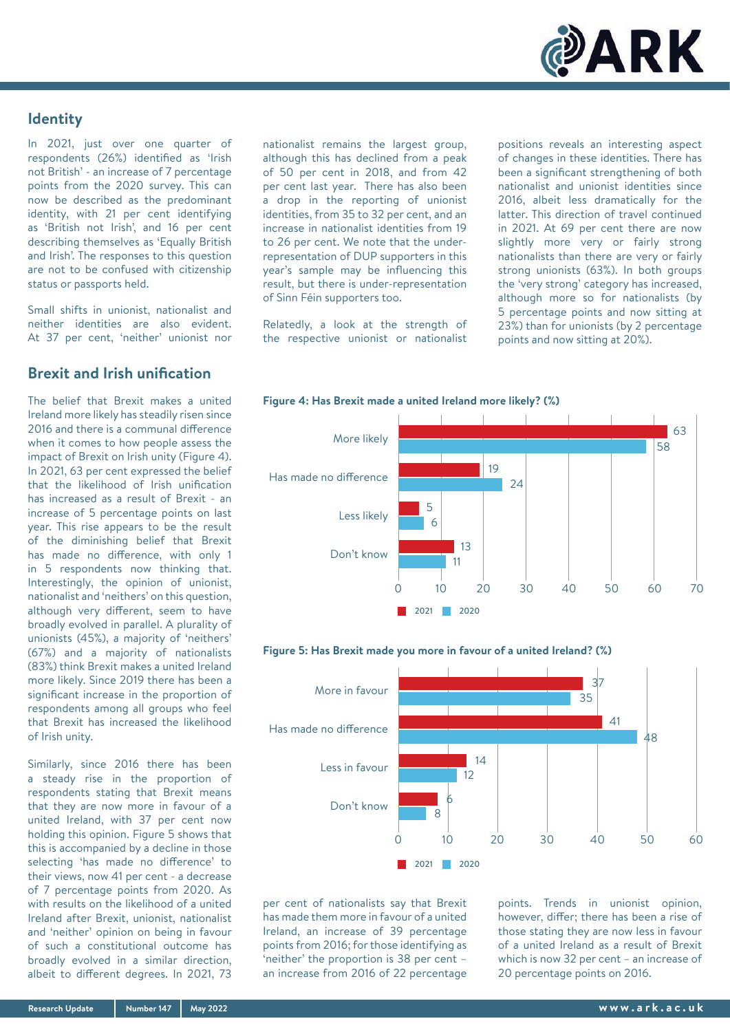

### **Identity**

In 2021, just over one quarter of respondents (26%) identified as 'Irish not British' - an increase of 7 percentage points from the 2020 survey. This can now be described as the predominant identity, with 21 per cent identifying as 'British not Irish', and 16 per cent describing themselves as 'Equally British and Irish'. The responses to this question are not to be confused with citizenship status or passports held.

Small shifts in unionist, nationalist and neither identities are also evident. At 37 per cent, 'neither' unionist nor

## **Brexit and Irish unification**

The belief that Brexit makes a united Ireland more likely has steadily risen since 2016 and there is a communal difference when it comes to how people assess the impact of Brexit on Irish unity (Figure 4). In 2021, 63 per cent expressed the belief that the likelihood of Irish unification has increased as a result of Brexit - an increase of 5 percentage points on last year. This rise appears to be the result of the diminishing belief that Brexit has made no difference, with only 1 in 5 respondents now thinking that. Interestingly, the opinion of unionist, nationalist and 'neithers' on this question, although very different, seem to have broadly evolved in parallel. A plurality of unionists (45%), a majority of 'neithers' (67%) and a majority of nationalists (83%) think Brexit makes a united Ireland more likely. Since 2019 there has been a significant increase in the proportion of respondents among all groups who feel that Brexit has increased the likelihood of Irish unity.

Similarly, since 2016 there has been a steady rise in the proportion of respondents stating that Brexit means that they are now more in favour of a united Ireland, with 37 per cent now holding this opinion. Figure 5 shows that this is accompanied by a decline in those selecting 'has made no difference' to their views, now 41 per cent - a decrease of 7 percentage points from 2020. As with results on the likelihood of a united Ireland after Brexit, unionist, nationalist and 'neither' opinion on being in favour of such a constitutional outcome has broadly evolved in a similar direction, albeit to different degrees. In 2021, 73

nationalist remains the largest group, although this has declined from a peak of 50 per cent in 2018, and from 42 per cent last year. There has also been a drop in the reporting of unionist identities, from 35 to 32 per cent, and an increase in nationalist identities from 19 to 26 per cent. We note that the underrepresentation of DUP supporters in this year's sample may be influencing this result, but there is under-representation of Sinn Féin supporters too.

Relatedly, a look at the strength of the respective unionist or nationalist

positions reveals an interesting aspect of changes in these identities. There has been a significant strengthening of both nationalist and unionist identities since 2016, albeit less dramatically for the latter. This direction of travel continued in 2021. At 69 per cent there are now slightly more very or fairly strong nationalists than there are very or fairly strong unionists (63%). In both groups the 'very strong' category has increased, although more so for nationalists (by 5 percentage points and now sitting at 23%) than for unionists (by 2 percentage points and now sitting at 20%).







per cent of nationalists say that Brexit has made them more in favour of a united Ireland, an increase of 39 percentage points from 2016; for those identifying as 'neither' the proportion is 38 per cent – an increase from 2016 of 22 percentage

points. Trends in unionist opinion, however, differ; there has been a rise of those stating they are now less in favour of a united Ireland as a result of Brexit which is now 32 per cent – an increase of 20 percentage points on 2016.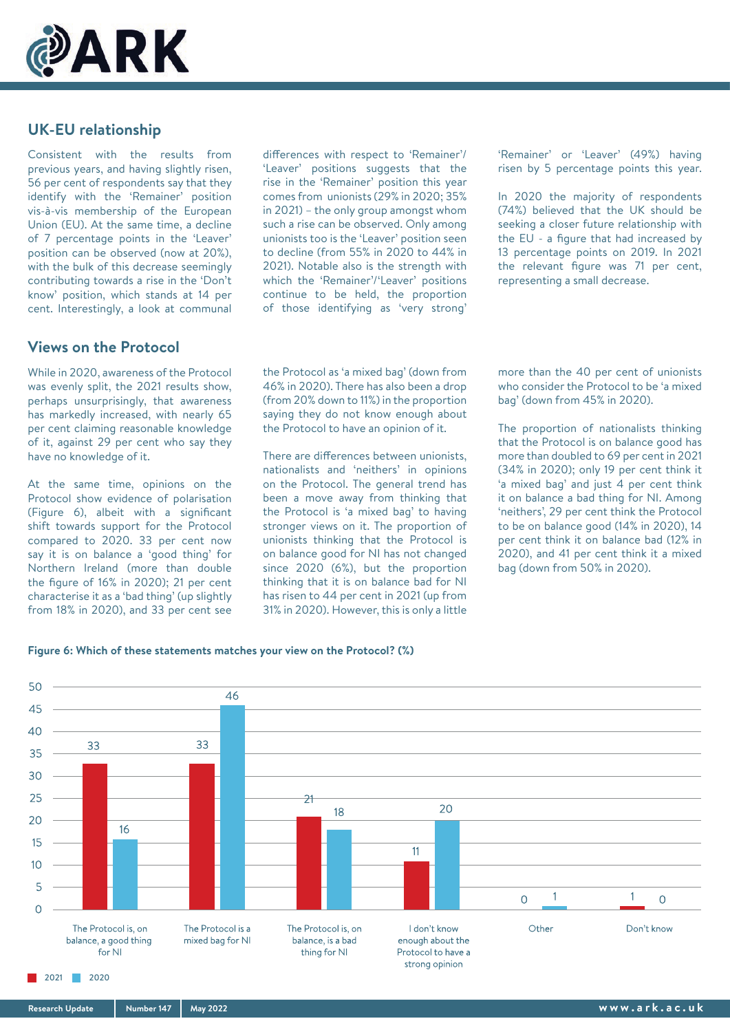

## **UK-EU relationship**

Consistent with the results from previous years, and having slightly risen, 56 per cent of respondents say that they identify with the 'Remainer' position vis-à-vis membership of the European Union (EU). At the same time, a decline of 7 percentage points in the 'Leaver' position can be observed (now at 20%), with the bulk of this decrease seemingly contributing towards a rise in the 'Don't know' position, which stands at 14 per cent. Interestingly, a look at communal

### **Views on the Protocol**

While in 2020, awareness of the Protocol was evenly split, the 2021 results show, perhaps unsurprisingly, that awareness has markedly increased, with nearly 65 per cent claiming reasonable knowledge of it, against 29 per cent who say they have no knowledge of it.

At the same time, opinions on the Protocol show evidence of polarisation (Figure 6), albeit with a significant shift towards support for the Protocol compared to 2020. 33 per cent now say it is on balance a 'good thing' for Northern Ireland (more than double the figure of 16% in 2020); 21 per cent characterise it as a 'bad thing' (up slightly from 18% in 2020), and 33 per cent see differences with respect to 'Remainer'/ 'Leaver' positions suggests that the rise in the 'Remainer' position this year comes from unionists (29% in 2020; 35% in 2021) – the only group amongst whom such a rise can be observed. Only among unionists too is the 'Leaver' position seen to decline (from 55% in 2020 to 44% in 2021). Notable also is the strength with which the 'Remainer'/'Leaver' positions continue to be held, the proportion of those identifying as 'very strong'

'Remainer' or 'Leaver' (49%) having risen by 5 percentage points this year.

In 2020 the majority of respondents (74%) believed that the UK should be seeking a closer future relationship with the EU - a figure that had increased by 13 percentage points on 2019. In 2021 the relevant figure was 71 per cent, representing a small decrease.

the Protocol as 'a mixed bag' (down from 46% in 2020). There has also been a drop (from 20% down to 11%) in the proportion saying they do not know enough about the Protocol to have an opinion of it.

There are differences between unionists, nationalists and 'neithers' in opinions on the Protocol. The general trend has been a move away from thinking that the Protocol is 'a mixed bag' to having stronger views on it. The proportion of unionists thinking that the Protocol is on balance good for NI has not changed since 2020 (6%), but the proportion thinking that it is on balance bad for NI has risen to 44 per cent in 2021 (up from 31% in 2020). However, this is only a little

more than the 40 per cent of unionists who consider the Protocol to be 'a mixed bag' (down from 45% in 2020).

The proportion of nationalists thinking that the Protocol is on balance good has more than doubled to 69 per cent in 2021 (34% in 2020); only 19 per cent think it 'a mixed bag' and just 4 per cent think it on balance a bad thing for NI. Among 'neithers', 29 per cent think the Protocol to be on balance good (14% in 2020), 14 per cent think it on balance bad (12% in 2020), and 41 per cent think it a mixed bag (down from 50% in 2020).



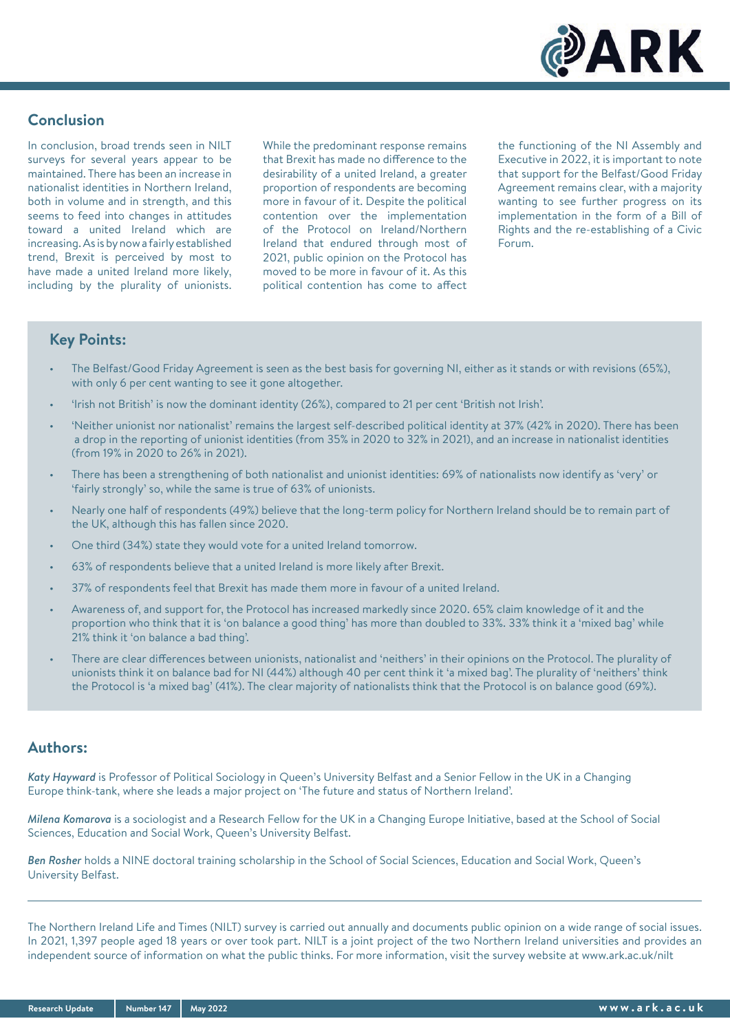

## **Conclusion**

In conclusion, broad trends seen in NILT surveys for several years appear to be maintained. There has been an increase in nationalist identities in Northern Ireland, both in volume and in strength, and this seems to feed into changes in attitudes toward a united Ireland which are increasing. As is by now a fairly established trend, Brexit is perceived by most to have made a united Ireland more likely, including by the plurality of unionists.

While the predominant response remains that Brexit has made no difference to the desirability of a united Ireland, a greater proportion of respondents are becoming more in favour of it. Despite the political contention over the implementation of the Protocol on Ireland/Northern Ireland that endured through most of 2021, public opinion on the Protocol has moved to be more in favour of it. As this political contention has come to affect

the functioning of the NI Assembly and Executive in 2022, it is important to note that support for the Belfast/Good Friday Agreement remains clear, with a majority wanting to see further progress on its implementation in the form of a Bill of Rights and the re-establishing of a Civic Forum.

#### **Key Points:**

- The Belfast/Good Friday Agreement is seen as the best basis for governing NI, either as it stands or with revisions (65%), with only 6 per cent wanting to see it gone altogether.
- 'Irish not British' is now the dominant identity (26%), compared to 21 per cent 'British not Irish'.
- 'Neither unionist nor nationalist' remains the largest self-described political identity at 37% (42% in 2020). There has been a drop in the reporting of unionist identities (from 35% in 2020 to 32% in 2021), and an increase in nationalist identities (from 19% in 2020 to 26% in 2021).
- There has been a strengthening of both nationalist and unionist identities: 69% of nationalists now identify as 'very' or 'fairly strongly' so, while the same is true of 63% of unionists.
- Nearly one half of respondents (49%) believe that the long-term policy for Northern Ireland should be to remain part of the UK, although this has fallen since 2020.
- One third (34%) state they would vote for a united Ireland tomorrow.
- 63% of respondents believe that a united Ireland is more likely after Brexit.
- 37% of respondents feel that Brexit has made them more in favour of a united Ireland.
- Awareness of, and support for, the Protocol has increased markedly since 2020. 65% claim knowledge of it and the proportion who think that it is 'on balance a good thing' has more than doubled to 33%. 33% think it a 'mixed bag' while 21% think it 'on balance a bad thing'.
- There are clear differences between unionists, nationalist and 'neithers' in their opinions on the Protocol. The plurality of unionists think it on balance bad for NI (44%) although 40 per cent think it 'a mixed bag'. The plurality of 'neithers' think the Protocol is 'a mixed bag' (41%). The clear majority of nationalists think that the Protocol is on balance good (69%).

#### **Authors:**

*Katy Hayward* is Professor of Political Sociology in Queen's University Belfast and a Senior Fellow in the UK in a Changing Europe think-tank, where she leads a major project on 'The future and status of Northern Ireland'.

*Milena Komarova* is a sociologist and a Research Fellow for the UK in a Changing Europe Initiative, based at the School of Social Sciences, Education and Social Work, Queen's University Belfast.

*Ben Rosher* holds a NINE doctoral training scholarship in the School of Social Sciences, Education and Social Work, Queen's University Belfast.

The Northern Ireland Life and Times (NILT) survey is carried out annually and documents public opinion on a wide range of social issues. In 2021, 1,397 people aged 18 years or over took part. NILT is a joint project of the two Northern Ireland universities and provides an independent source of information on what the public thinks. For more information, visit the survey website at www.ark.ac.uk/nilt